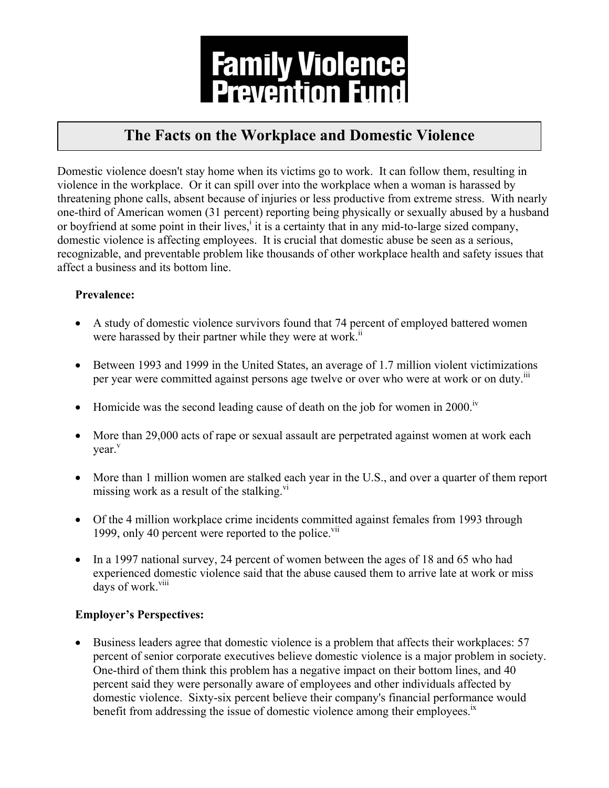

# **The Facts on the Workplace and Domestic Violence**

Domestic violence doesn't stay home when its victims go to work. It can follow them, resulting in violence in the workplace. Or it can spill over into the workplace when a woman is harassed by threatening phone calls, absent because of injuries or less productive from extreme stress. With nearly one-third of American women (31 percent) reporting being physically or sexually abused by a husband or boyfriend at some point in their lives,<sup>i</sup> it is a certainty that in any mid-to-large sized company, domestic violence is affecting employees. It is crucial that domestic abuse be seen as a serious, recognizable, and preventable problem like thousands of other workplace health and safety issues that affect a business and its bottom line.

## **Prevalence:**

- A study of domestic violence survivors found that 74 percent of employed battered women were harassed by their partner while they were at work.<sup>ii</sup>
- Between 1993 and 1999 in the United States, an average of 1.7 million violent victimizations per year were committed against persons age twelve or over who were at work or on duty.<sup>III</sup>
- Homicide was the second leading cause of death on the job for women in  $2000$ .<sup>1</sup>
- More than 29,000 acts of rape or sexual assault are perpetrated against women at work each vear.<sup>v</sup>
- More than 1 million women are stalked each year in the U.S., and over a quarter of them report missing work as a result of the stalking. $\overline{v}$
- Of the 4 million workplace crime incidents committed against females from 1993 through 1999, only 40 percent were reported to the police. $\frac{v_{\text{ii}}}{v_{\text{iii}}}$
- In a 1997 national survey, 24 percent of women between the ages of 18 and 65 who had experienced domestic violence said that the abuse caused them to arrive late at work or miss days of work.<sup>viii</sup>

### **Employer's Perspectives:**

• Business leaders agree that domestic violence is a problem that affects their workplaces: 57 percent of senior corporate executives believe domestic violence is a major problem in society. One-third of them think this problem has a negative impact on their bottom lines, and 40 percent said they were personally aware of employees and other individuals affected by domestic violence. Sixty-six percent believe their company's financial performance would benefit from addressing the issue of domestic violence among their employees.<sup>1x</sup>